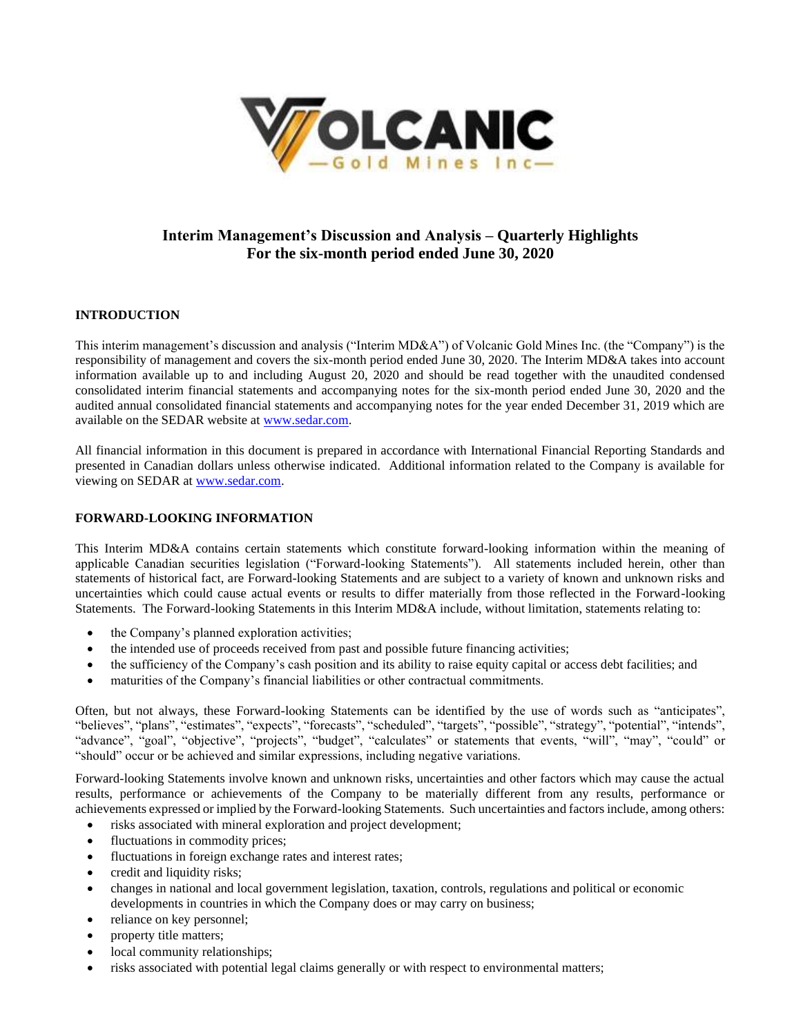

# **Interim Management's Discussion and Analysis – Quarterly Highlights For the six-month period ended June 30, 2020**

# **INTRODUCTION**

This interim management's discussion and analysis ("Interim MD&A") of Volcanic Gold Mines Inc. (the "Company") is the responsibility of management and covers the six-month period ended June 30, 2020. The Interim MD&A takes into account information available up to and including August 20, 2020 and should be read together with the unaudited condensed consolidated interim financial statements and accompanying notes for the six-month period ended June 30, 2020 and the audited annual consolidated financial statements and accompanying notes for the year ended December 31, 2019 which are available on the SEDAR website at [www.sedar.com.](http://www.sedar.com/)

All financial information in this document is prepared in accordance with International Financial Reporting Standards and presented in Canadian dollars unless otherwise indicated. Additional information related to the Company is available for viewing on SEDAR at [www.sedar.com.](http://www.sedar.com/)

# **FORWARD-LOOKING INFORMATION**

This Interim MD&A contains certain statements which constitute forward-looking information within the meaning of applicable Canadian securities legislation ("Forward-looking Statements"). All statements included herein, other than statements of historical fact, are Forward-looking Statements and are subject to a variety of known and unknown risks and uncertainties which could cause actual events or results to differ materially from those reflected in the Forward-looking Statements. The Forward-looking Statements in this Interim MD&A include, without limitation, statements relating to:

- the Company's planned exploration activities;
- the intended use of proceeds received from past and possible future financing activities;
- the sufficiency of the Company's cash position and its ability to raise equity capital or access debt facilities; and
- maturities of the Company's financial liabilities or other contractual commitments.

Often, but not always, these Forward-looking Statements can be identified by the use of words such as "anticipates", "believes", "plans", "estimates", "expects", "forecasts", "scheduled", "targets", "possible", "strategy", "potential", "intends", "advance", "goal", "objective", "projects", "budget", "calculates" or statements that events, "will", "may", "could" or "should" occur or be achieved and similar expressions, including negative variations.

Forward-looking Statements involve known and unknown risks, uncertainties and other factors which may cause the actual results, performance or achievements of the Company to be materially different from any results, performance or achievements expressed or implied by the Forward-looking Statements. Such uncertainties and factors include, among others:

- risks associated with mineral exploration and project development;
- fluctuations in commodity prices;
- fluctuations in foreign exchange rates and interest rates;
- credit and liquidity risks;
- changes in national and local government legislation, taxation, controls, regulations and political or economic developments in countries in which the Company does or may carry on business;
- reliance on key personnel;
- property title matters;
- local community relationships;
- risks associated with potential legal claims generally or with respect to environmental matters;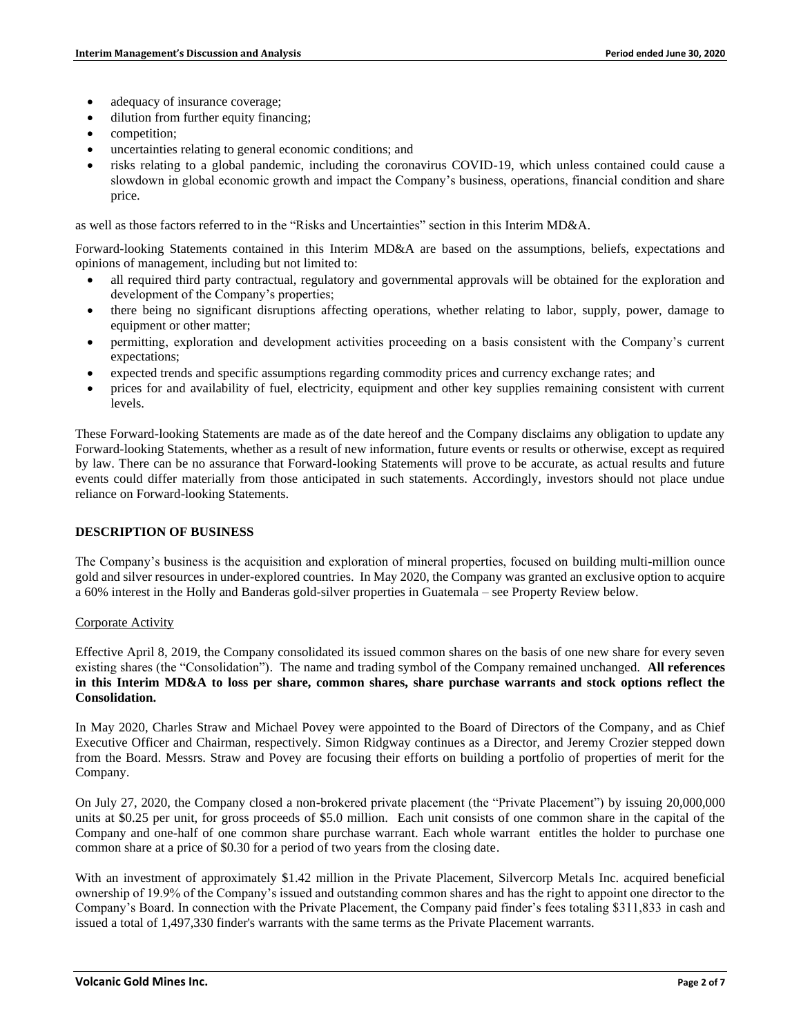- adequacy of insurance coverage;
- dilution from further equity financing:
- competition;
- uncertainties relating to general economic conditions; and
- risks relating to a global pandemic, including the coronavirus COVID-19, which unless contained could cause a slowdown in global economic growth and impact the Company's business, operations, financial condition and share price.

as well as those factors referred to in the "Risks and Uncertainties" section in this Interim MD&A.

Forward-looking Statements contained in this Interim MD&A are based on the assumptions, beliefs, expectations and opinions of management, including but not limited to:

- all required third party contractual, regulatory and governmental approvals will be obtained for the exploration and development of the Company's properties;
- there being no significant disruptions affecting operations, whether relating to labor, supply, power, damage to equipment or other matter;
- permitting, exploration and development activities proceeding on a basis consistent with the Company's current expectations;
- expected trends and specific assumptions regarding commodity prices and currency exchange rates; and
- prices for and availability of fuel, electricity, equipment and other key supplies remaining consistent with current levels.

These Forward-looking Statements are made as of the date hereof and the Company disclaims any obligation to update any Forward-looking Statements, whether as a result of new information, future events or results or otherwise, except as required by law. There can be no assurance that Forward-looking Statements will prove to be accurate, as actual results and future events could differ materially from those anticipated in such statements. Accordingly, investors should not place undue reliance on Forward-looking Statements.

#### **DESCRIPTION OF BUSINESS**

The Company's business is the acquisition and exploration of mineral properties, focused on building multi-million ounce gold and silver resources in under-explored countries. In May 2020, the Company was granted an exclusive option to acquire a 60% interest in the Holly and Banderas gold-silver properties in Guatemala – see Property Review below.

#### Corporate Activity

Effective April 8, 2019, the Company consolidated its issued common shares on the basis of one new share for every seven existing shares (the "Consolidation"). The name and trading symbol of the Company remained unchanged. **All references in this Interim MD&A to loss per share, common shares, share purchase warrants and stock options reflect the Consolidation.**

In May 2020, Charles Straw and Michael Povey were appointed to the Board of Directors of the Company, and as Chief Executive Officer and Chairman, respectively. Simon Ridgway continues as a Director, and Jeremy Crozier stepped down from the Board. Messrs. Straw and Povey are focusing their efforts on building a portfolio of properties of merit for the Company.

On July 27, 2020, the Company closed a non-brokered private placement (the "Private Placement") by issuing 20,000,000 units at \$0.25 per unit, for gross proceeds of \$5.0 million. Each unit consists of one common share in the capital of the Company and one-half of one common share purchase warrant. Each whole warrant entitles the holder to purchase one common share at a price of \$0.30 for a period of two years from the closing date.

With an investment of approximately \$1.42 million in the Private Placement, Silvercorp Metals Inc. acquired beneficial ownership of 19.9% of the Company's issued and outstanding common shares and has the right to appoint one director to the Company's Board. In connection with the Private Placement, the Company paid finder's fees totaling \$311,833 in cash and issued a total of 1,497,330 finder's warrants with the same terms as the Private Placement warrants.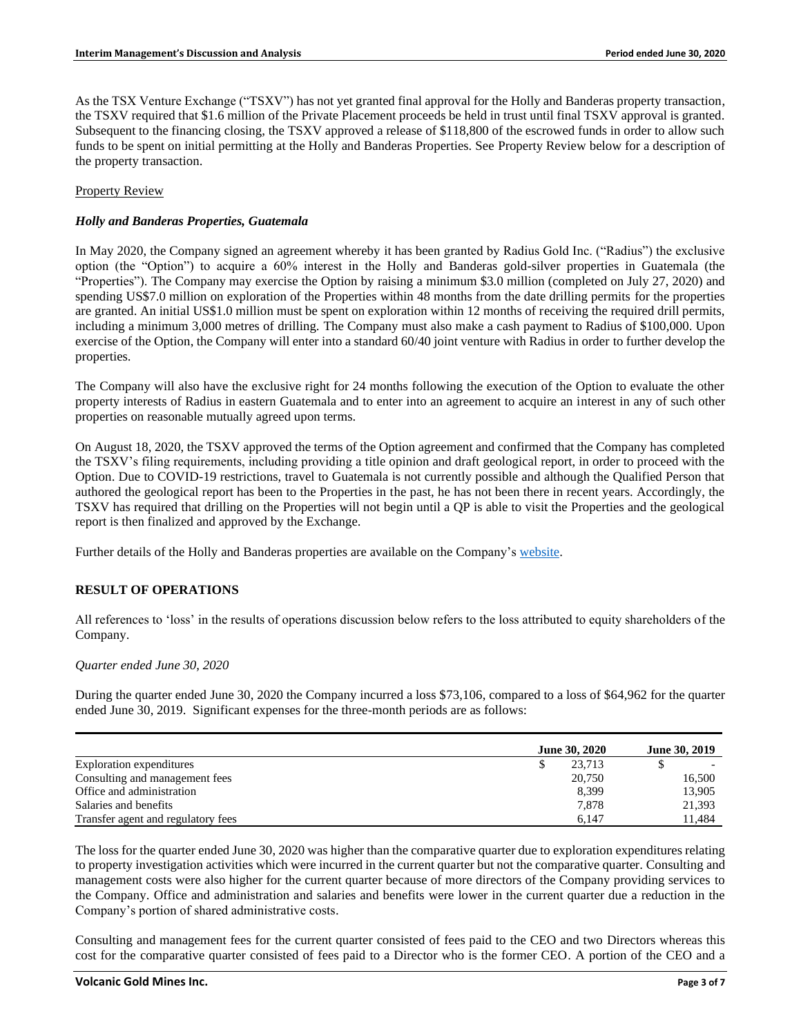As the TSX Venture Exchange ("TSXV") has not yet granted final approval for the Holly and Banderas property transaction, the TSXV required that \$1.6 million of the Private Placement proceeds be held in trust until final TSXV approval is granted. Subsequent to the financing closing, the TSXV approved a release of \$118,800 of the escrowed funds in order to allow such funds to be spent on initial permitting at the Holly and Banderas Properties. See Property Review below for a description of the property transaction.

#### Property Review

#### *Holly and Banderas Properties, Guatemala*

In May 2020, the Company signed an agreement whereby it has been granted by Radius Gold Inc. ("Radius") the exclusive option (the "Option") to acquire a 60% interest in the Holly and Banderas gold-silver properties in Guatemala (the "Properties"). The Company may exercise the Option by raising a minimum \$3.0 million (completed on July 27, 2020) and spending US\$7.0 million on exploration of the Properties within 48 months from the date drilling permits for the properties are granted. An initial US\$1.0 million must be spent on exploration within 12 months of receiving the required drill permits, including a minimum 3,000 metres of drilling. The Company must also make a cash payment to Radius of \$100,000. Upon exercise of the Option, the Company will enter into a standard 60/40 joint venture with Radius in order to further develop the properties.

The Company will also have the exclusive right for 24 months following the execution of the Option to evaluate the other property interests of Radius in eastern Guatemala and to enter into an agreement to acquire an interest in any of such other properties on reasonable mutually agreed upon terms.

On August 18, 2020, the TSXV approved the terms of the Option agreement and confirmed that the Company has completed the TSXV's filing requirements, including providing a title opinion and draft geological report, in order to proceed with the Option. Due to COVID-19 restrictions, travel to Guatemala is not currently possible and although the Qualified Person that authored the geological report has been to the Properties in the past, he has not been there in recent years. Accordingly, the TSXV has required that drilling on the Properties will not begin until a QP is able to visit the Properties and the geological report is then finalized and approved by the Exchange.

Further details of the Holly and Banderas properties are available on the Company's [website.](http://www.volgold.com/)

# **RESULT OF OPERATIONS**

All references to 'loss' in the results of operations discussion below refers to the loss attributed to equity shareholders of the Company.

#### *Quarter ended June 30, 2020*

During the quarter ended June 30, 2020 the Company incurred a loss \$73,106, compared to a loss of \$64,962 for the quarter ended June 30, 2019. Significant expenses for the three-month periods are as follows:

|                                    | <b>June 30, 2020</b> | <b>June 30, 2019</b> |
|------------------------------------|----------------------|----------------------|
| Exploration expenditures           | 23.713               |                      |
| Consulting and management fees     | 20,750               | 16,500               |
| Office and administration          | 8,399                | 13.905               |
| Salaries and benefits              | 7,878                | 21,393               |
| Transfer agent and regulatory fees | 6.147                | ! 1.484              |

The loss for the quarter ended June 30, 2020 was higher than the comparative quarter due to exploration expenditures relating to property investigation activities which were incurred in the current quarter but not the comparative quarter. Consulting and management costs were also higher for the current quarter because of more directors of the Company providing services to the Company. Office and administration and salaries and benefits were lower in the current quarter due a reduction in the Company's portion of shared administrative costs.

Consulting and management fees for the current quarter consisted of fees paid to the CEO and two Directors whereas this cost for the comparative quarter consisted of fees paid to a Director who is the former CEO. A portion of the CEO and a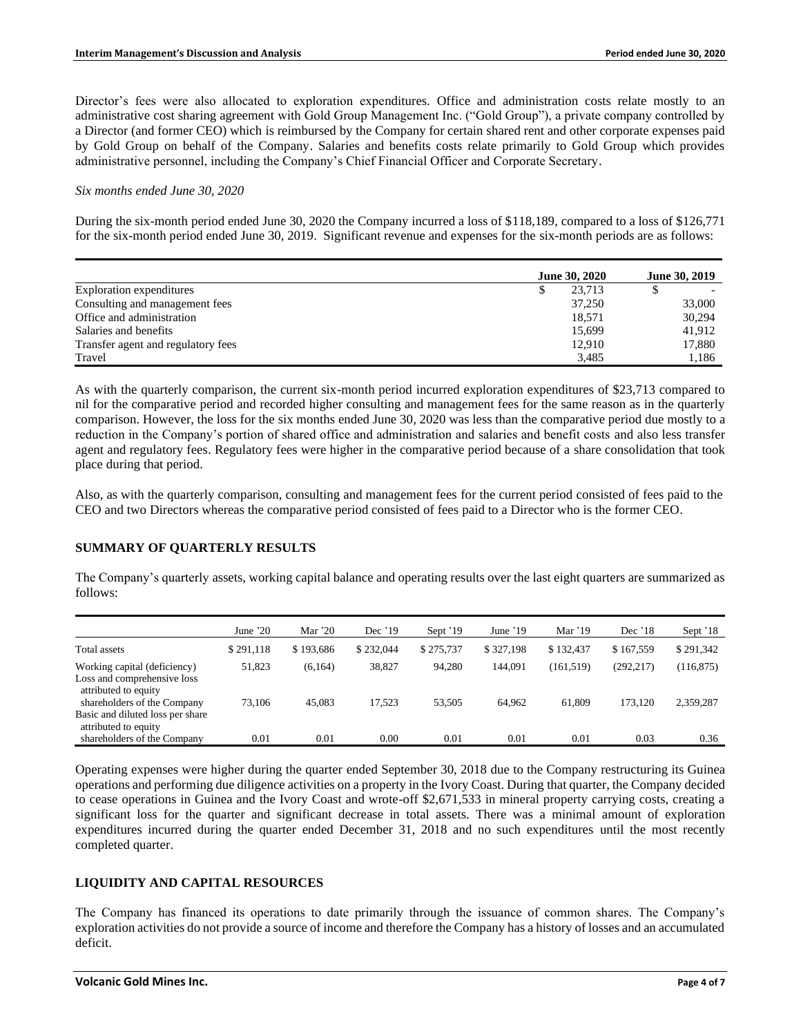Director's fees were also allocated to exploration expenditures. Office and administration costs relate mostly to an administrative cost sharing agreement with Gold Group Management Inc. ("Gold Group"), a private company controlled by a Director (and former CEO) which is reimbursed by the Company for certain shared rent and other corporate expenses paid by Gold Group on behalf of the Company. Salaries and benefits costs relate primarily to Gold Group which provides administrative personnel, including the Company's Chief Financial Officer and Corporate Secretary.

#### *Six months ended June 30, 2020*

During the six-month period ended June 30, 2020 the Company incurred a loss of \$118,189, compared to a loss of \$126,771 for the six-month period ended June 30, 2019. Significant revenue and expenses for the six-month periods are as follows:

|                                    | <b>June 30, 2020</b> | June 30, 2019 |
|------------------------------------|----------------------|---------------|
| Exploration expenditures           | 23.713               |               |
| Consulting and management fees     | 37,250               | 33,000        |
| Office and administration          | 18.571               | 30.294        |
| Salaries and benefits              | 15.699               | 41.912        |
| Transfer agent and regulatory fees | 12.910               | 17,880        |
| Travel                             | 3.485                | 1.186         |

As with the quarterly comparison, the current six-month period incurred exploration expenditures of \$23,713 compared to nil for the comparative period and recorded higher consulting and management fees for the same reason as in the quarterly comparison. However, the loss for the six months ended June 30, 2020 was less than the comparative period due mostly to a reduction in the Company's portion of shared office and administration and salaries and benefit costs and also less transfer agent and regulatory fees. Regulatory fees were higher in the comparative period because of a share consolidation that took place during that period.

Also, as with the quarterly comparison, consulting and management fees for the current period consisted of fees paid to the CEO and two Directors whereas the comparative period consisted of fees paid to a Director who is the former CEO.

# **SUMMARY OF QUARTERLY RESULTS**

The Company's quarterly assets, working capital balance and operating results over the last eight quarters are summarized as follows:

|                                                                                     | June $20$ | Mar $20$  | Dec $'19$ | Sept '19  | June $'19$ | Mar $'19$  | Dec $'18$  | Sept '18   |
|-------------------------------------------------------------------------------------|-----------|-----------|-----------|-----------|------------|------------|------------|------------|
| Total assets                                                                        | \$291.118 | \$193,686 | \$232,044 | \$275,737 | \$327,198  | \$132,437  | \$167,559  | \$291,342  |
| Working capital (deficiency)<br>Loss and comprehensive loss<br>attributed to equity | 51,823    | (6, 164)  | 38,827    | 94,280    | 144.091    | (161, 519) | (292, 217) | (116, 875) |
| shareholders of the Company<br>Basic and diluted loss per share                     | 73.106    | 45.083    | 17.523    | 53.505    | 64.962     | 61,809     | 173.120    | 2,359,287  |
| attributed to equity<br>shareholders of the Company                                 | 0.01      | 0.01      | 0.00      | 0.01      | 0.01       | 0.01       | 0.03       | 0.36       |

Operating expenses were higher during the quarter ended September 30, 2018 due to the Company restructuring its Guinea operations and performing due diligence activities on a property in the Ivory Coast. During that quarter, the Company decided to cease operations in Guinea and the Ivory Coast and wrote-off \$2,671,533 in mineral property carrying costs, creating a significant loss for the quarter and significant decrease in total assets. There was a minimal amount of exploration expenditures incurred during the quarter ended December 31, 2018 and no such expenditures until the most recently completed quarter.

# **LIQUIDITY AND CAPITAL RESOURCES**

The Company has financed its operations to date primarily through the issuance of common shares. The Company's exploration activities do not provide a source of income and therefore the Company has a history of losses and an accumulated deficit.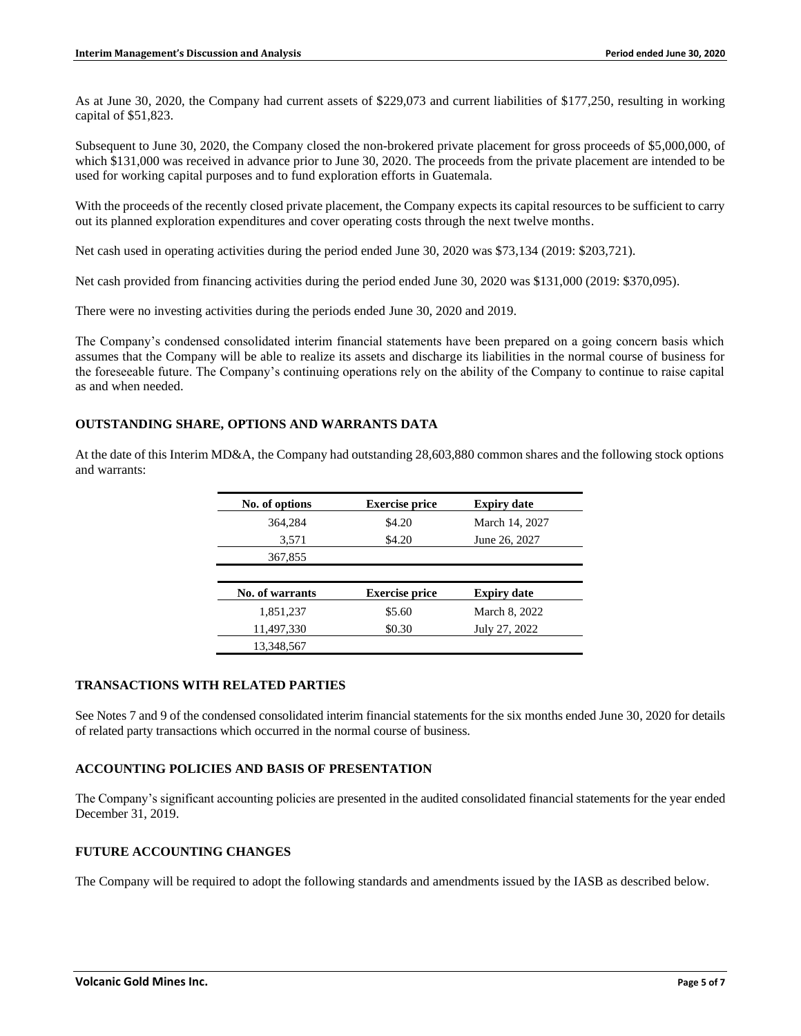As at June 30, 2020, the Company had current assets of \$229,073 and current liabilities of \$177,250, resulting in working capital of \$51,823.

Subsequent to June 30, 2020, the Company closed the non-brokered private placement for gross proceeds of \$5,000,000, of which \$131,000 was received in advance prior to June 30, 2020. The proceeds from the private placement are intended to be used for working capital purposes and to fund exploration efforts in Guatemala.

With the proceeds of the recently closed private placement, the Company expects its capital resources to be sufficient to carry out its planned exploration expenditures and cover operating costs through the next twelve months.

Net cash used in operating activities during the period ended June 30, 2020 was \$73,134 (2019: \$203,721).

Net cash provided from financing activities during the period ended June 30, 2020 was \$131,000 (2019: \$370,095).

There were no investing activities during the periods ended June 30, 2020 and 2019.

The Company's condensed consolidated interim financial statements have been prepared on a going concern basis which assumes that the Company will be able to realize its assets and discharge its liabilities in the normal course of business for the foreseeable future. The Company's continuing operations rely on the ability of the Company to continue to raise capital as and when needed.

# **OUTSTANDING SHARE, OPTIONS AND WARRANTS DATA**

At the date of this Interim MD&A, the Company had outstanding 28,603,880 common shares and the following stock options and warrants:

| No. of options         | <b>Exercise price</b> | <b>Expiry date</b> |
|------------------------|-----------------------|--------------------|
| 364,284                | \$4.20                | March 14, 2027     |
| 3,571                  | \$4.20                | June 26, 2027      |
| 367,855                |                       |                    |
|                        |                       |                    |
| <b>No. of warrants</b> | <b>Exercise price</b> | <b>Expiry date</b> |
| 1,851,237              | \$5.60                | March 8, 2022      |
| 11,497,330             | \$0.30                | July 27, 2022      |
| 13.348.567             |                       |                    |

# **TRANSACTIONS WITH RELATED PARTIES**

See Notes 7 and 9 of the condensed consolidated interim financial statements for the six months ended June 30, 2020 for details of related party transactions which occurred in the normal course of business.

# **ACCOUNTING POLICIES AND BASIS OF PRESENTATION**

The Company's significant accounting policies are presented in the audited consolidated financial statements for the year ended December 31, 2019.

# **FUTURE ACCOUNTING CHANGES**

The Company will be required to adopt the following standards and amendments issued by the IASB as described below.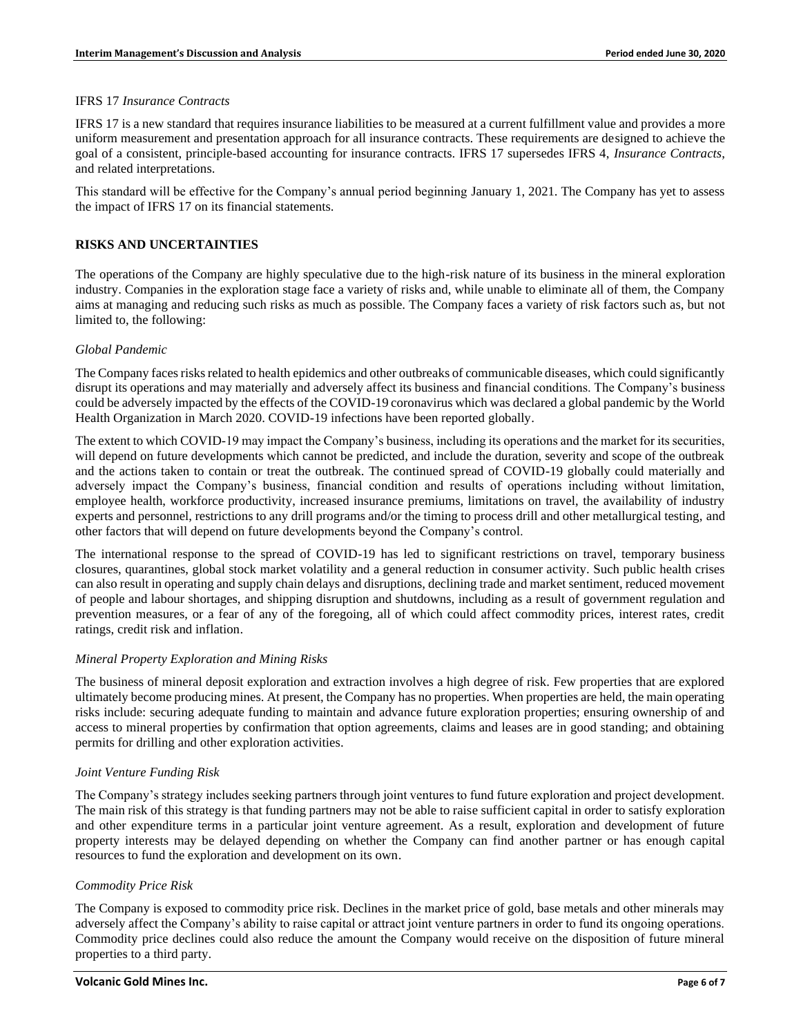#### IFRS 17 *Insurance Contracts*

IFRS 17 is a new standard that requires insurance liabilities to be measured at a current fulfillment value and provides a more uniform measurement and presentation approach for all insurance contracts. These requirements are designed to achieve the goal of a consistent, principle-based accounting for insurance contracts. IFRS 17 supersedes IFRS 4, *Insurance Contracts*, and related interpretations.

This standard will be effective for the Company's annual period beginning January 1, 2021. The Company has yet to assess the impact of IFRS 17 on its financial statements.

# **RISKS AND UNCERTAINTIES**

The operations of the Company are highly speculative due to the high-risk nature of its business in the mineral exploration industry. Companies in the exploration stage face a variety of risks and, while unable to eliminate all of them, the Company aims at managing and reducing such risks as much as possible. The Company faces a variety of risk factors such as, but not limited to, the following:

#### *Global Pandemic*

The Company faces risks related to health epidemics and other outbreaks of communicable diseases, which could significantly disrupt its operations and may materially and adversely affect its business and financial conditions. The Company's business could be adversely impacted by the effects of the COVID-19 coronavirus which was declared a global pandemic by the World Health Organization in March 2020. COVID-19 infections have been reported globally.

The extent to which COVID-19 may impact the Company's business, including its operations and the market for its securities, will depend on future developments which cannot be predicted, and include the duration, severity and scope of the outbreak and the actions taken to contain or treat the outbreak. The continued spread of COVID-19 globally could materially and adversely impact the Company's business, financial condition and results of operations including without limitation, employee health, workforce productivity, increased insurance premiums, limitations on travel, the availability of industry experts and personnel, restrictions to any drill programs and/or the timing to process drill and other metallurgical testing, and other factors that will depend on future developments beyond the Company's control.

The international response to the spread of COVID-19 has led to significant restrictions on travel, temporary business closures, quarantines, global stock market volatility and a general reduction in consumer activity. Such public health crises can also result in operating and supply chain delays and disruptions, declining trade and market sentiment, reduced movement of people and labour shortages, and shipping disruption and shutdowns, including as a result of government regulation and prevention measures, or a fear of any of the foregoing, all of which could affect commodity prices, interest rates, credit ratings, credit risk and inflation.

# *Mineral Property Exploration and Mining Risks*

The business of mineral deposit exploration and extraction involves a high degree of risk. Few properties that are explored ultimately become producing mines. At present, the Company has no properties. When properties are held, the main operating risks include: securing adequate funding to maintain and advance future exploration properties; ensuring ownership of and access to mineral properties by confirmation that option agreements, claims and leases are in good standing; and obtaining permits for drilling and other exploration activities.

# *Joint Venture Funding Risk*

The Company's strategy includes seeking partners through joint ventures to fund future exploration and project development. The main risk of this strategy is that funding partners may not be able to raise sufficient capital in order to satisfy exploration and other expenditure terms in a particular joint venture agreement. As a result, exploration and development of future property interests may be delayed depending on whether the Company can find another partner or has enough capital resources to fund the exploration and development on its own.

#### *Commodity Price Risk*

The Company is exposed to commodity price risk. Declines in the market price of gold, base metals and other minerals may adversely affect the Company's ability to raise capital or attract joint venture partners in order to fund its ongoing operations. Commodity price declines could also reduce the amount the Company would receive on the disposition of future mineral properties to a third party.